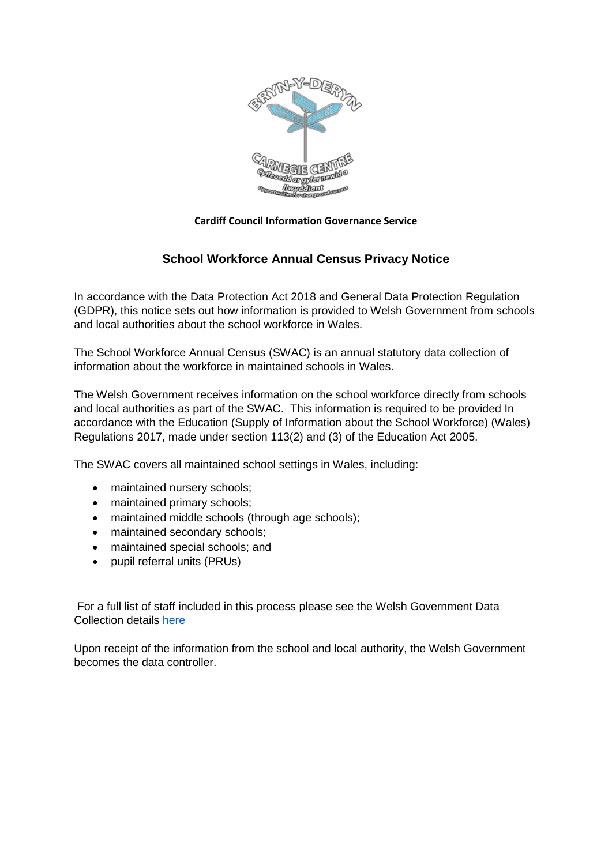

#### **Cardiff Council Information Governance Service**

# **School Workforce Annual Census Privacy Notice**

In accordance with the Data Protection Act 2018 and General Data Protection Regulation (GDPR), this notice sets out how information is provided to Welsh Government from schools and local authorities about the school workforce in Wales.

The School Workforce Annual Census (SWAC) is an annual statutory data collection of information about the workforce in maintained schools in Wales.

The Welsh Government receives information on the school workforce directly from schools and local authorities as part of the SWAC. This information is required to be provided In accordance with the Education (Supply of Information about the School Workforce) (Wales) Regulations 2017, made under section 113(2) and (3) of the Education Act 2005.

The SWAC covers all maintained school settings in Wales, including:

- maintained nursery schools;
- maintained primary schools;
- maintained middle schools (through age schools);
- maintained secondary schools;
- maintained special schools; and
- pupil referral units (PRUs)

For a full list of staff included in this process please see the Welsh Government Data Collection details [here](https://gov.wales/school-workforce-annual-census-swac-privacy-notice)

Upon receipt of the information from the school and local authority, the Welsh Government becomes the data controller.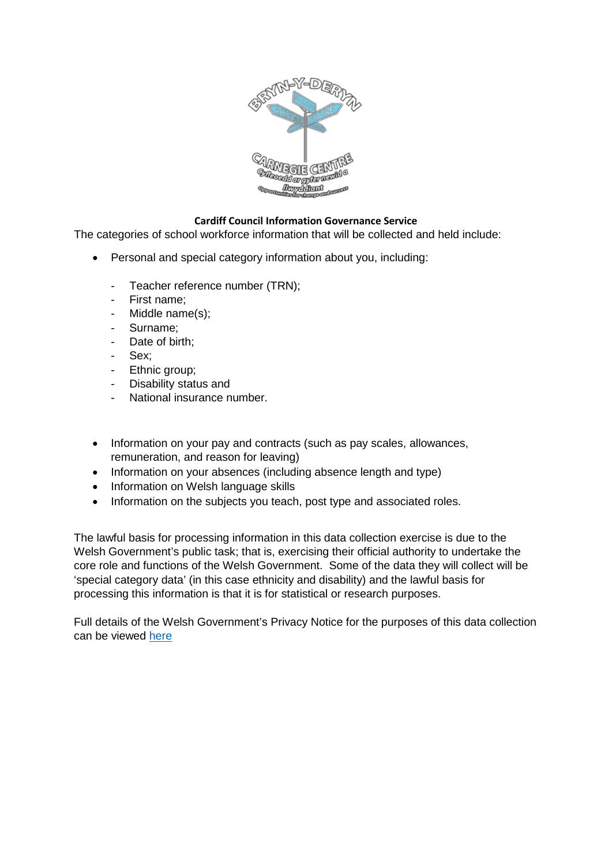

## **Cardiff Council Information Governance Service**

The categories of school workforce information that will be collected and held include:

- Personal and special category information about you, including:
	- Teacher reference number (TRN);
	- First name:
	- Middle name(s);
	- Surname;
	- Date of birth;
	- Sex:
	- Ethnic group;
	- Disability status and
	- National insurance number.
- Information on your pay and contracts (such as pay scales, allowances, remuneration, and reason for leaving)
- Information on your absences (including absence length and type)
- Information on Welsh language skills
- Information on the subjects you teach, post type and associated roles.

The lawful basis for processing information in this data collection exercise is due to the Welsh Government's public task; that is, exercising their official authority to undertake the core role and functions of the Welsh Government. Some of the data they will collect will be 'special category data' (in this case ethnicity and disability) and the lawful basis for processing this information is that it is for statistical or research purposes.

Full details of the Welsh Government's Privacy Notice for the purposes of this data collection can be viewed [here](https://gov.wales/sites/default/files/publications/2019-07/welsh-government-privacy-notice-for-individuals-associated-with-school-workforce-annual-census.pdf)